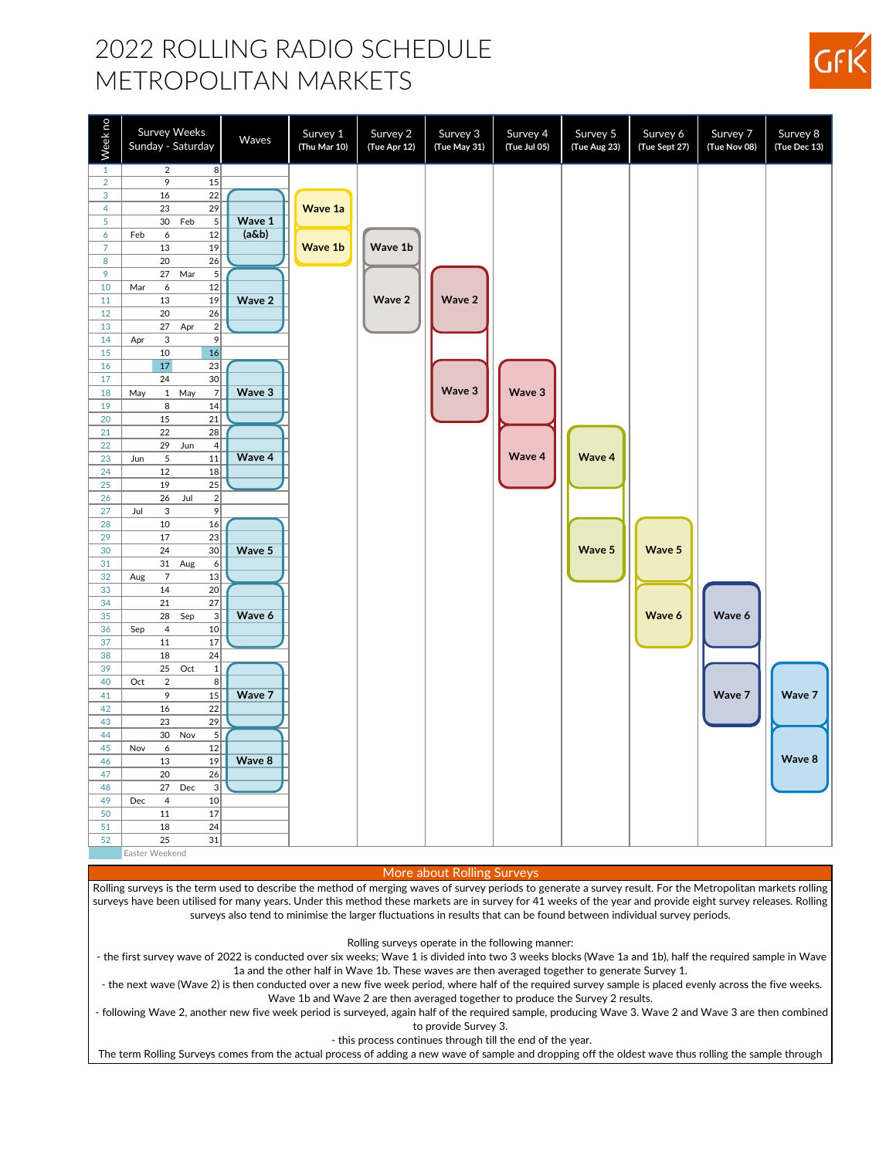## 2022 ROLLING RADIO SCHEDULE METROPOLITAN MARKETS

| Week no        | Survey Weeks<br>Sunday - Saturday            | Waves    | Survey 1<br>(Thu Mar 10) | Survey 2<br>(Tue Apr 12) | Survey 3<br>(Tue May 31) | Survey 4<br>(Tue Jul 05) | Survey 5<br>(Tue Aug 23) | Survey 6<br>(Tue Sept 27) | Survey 7<br>(Tue Nov 08) | Survey 8<br>(Tue Dec 13) |
|----------------|----------------------------------------------|----------|--------------------------|--------------------------|--------------------------|--------------------------|--------------------------|---------------------------|--------------------------|--------------------------|
| $\mathbf{1}$   | $\sqrt{2}$<br>8 <sup>2</sup>                 |          |                          |                          |                          |                          |                          |                           |                          |                          |
| $\overline{2}$ | 15<br>9                                      |          |                          |                          |                          |                          |                          |                           |                          |                          |
| 3              | 16<br>22                                     |          |                          |                          |                          |                          |                          |                           |                          |                          |
| $\overline{4}$ | 23<br>29                                     |          | Wave 1a                  |                          |                          |                          |                          |                           |                          |                          |
| 5              | 30<br>5 <sup>5</sup><br>Feb                  | Wave 1   |                          |                          |                          |                          |                          |                           |                          |                          |
| 6              | $\boldsymbol{6}$<br>12<br>Feb                | $(a\&b)$ |                          |                          |                          |                          |                          |                           |                          |                          |
| $\overline{7}$ | 13<br>19                                     |          | Wave 1b                  | Wave 1b                  |                          |                          |                          |                           |                          |                          |
| $\bf8$         | 20<br>26                                     |          |                          |                          |                          |                          |                          |                           |                          |                          |
| 9              | $\sqrt{5}$<br>27<br>Mar                      |          |                          |                          |                          |                          |                          |                           |                          |                          |
| 10             | 12<br>$\boldsymbol{6}$<br>Mar                |          |                          |                          |                          |                          |                          |                           |                          |                          |
| 11             | 13<br>19                                     | Wave 2   |                          | Wave 2                   | Wave 2                   |                          |                          |                           |                          |                          |
| 12             | 20<br>26                                     |          |                          |                          |                          |                          |                          |                           |                          |                          |
| 13             | $\sqrt{2}$<br>27<br>Apr                      |          |                          |                          |                          |                          |                          |                           |                          |                          |
| 14             | 9<br>$\ensuremath{\mathsf{3}}$<br>Apr        |          |                          |                          |                          |                          |                          |                           |                          |                          |
| 15             | 10<br>16<br>$17$                             |          |                          |                          |                          |                          |                          |                           |                          |                          |
| 16<br>17       | 23<br>30<br>24                               |          |                          |                          |                          |                          |                          |                           |                          |                          |
| 18             | $\overline{7}$<br>$\mathbf{1}$<br>May<br>May | Wave 3   |                          |                          | Wave 3                   | Wave 3                   |                          |                           |                          |                          |
| 19             | $\, 8$<br>14                                 |          |                          |                          |                          |                          |                          |                           |                          |                          |
| 20             | 15<br>21                                     |          |                          |                          |                          |                          |                          |                           |                          |                          |
| 21             | 22<br>28                                     |          |                          |                          |                          |                          |                          |                           |                          |                          |
| 22             | 29<br>Jun<br>$\overline{4}$                  |          |                          |                          |                          |                          |                          |                           |                          |                          |
| 23             | $\sqrt{5}$<br>11<br>Jun                      | Wave 4   |                          |                          |                          | Wave 4                   | Wave 4                   |                           |                          |                          |
| 24             | 12<br>18                                     |          |                          |                          |                          |                          |                          |                           |                          |                          |
| 25             | 19<br>25                                     |          |                          |                          |                          |                          |                          |                           |                          |                          |
| 26             | $\sqrt{2}$<br>26<br>Jul                      |          |                          |                          |                          |                          |                          |                           |                          |                          |
| 27             | $\,9$<br>$\mathbf{3}$<br>Jul                 |          |                          |                          |                          |                          |                          |                           |                          |                          |
| 28             | 10<br>16                                     |          |                          |                          |                          |                          |                          |                           |                          |                          |
| 29             | 17<br>23                                     |          |                          |                          |                          |                          |                          |                           |                          |                          |
| 30             | 24<br>$30\,$                                 | Wave 5   |                          |                          |                          |                          | Wave 5                   | Wave 5                    |                          |                          |
| 31             | $\boldsymbol{6}$<br>31<br>Aug                |          |                          |                          |                          |                          |                          |                           |                          |                          |
| 32             | $\overline{7}$<br>13<br>Aug                  |          |                          |                          |                          |                          |                          |                           |                          |                          |
| 33             | 14<br>20                                     |          |                          |                          |                          |                          |                          |                           |                          |                          |
| 34             | 21<br>27                                     |          |                          |                          |                          |                          |                          |                           |                          |                          |
| 35             | 28<br>$\ensuremath{\mathsf{3}}$<br>Sep       | Wave 6   |                          |                          |                          |                          |                          | Wave 6                    | Wave 6                   |                          |
| 36             | $\overline{4}$<br>10<br>Sep                  |          |                          |                          |                          |                          |                          |                           |                          |                          |
| 37             | 11<br>17                                     |          |                          |                          |                          |                          |                          |                           |                          |                          |
| 38             | 18<br>24                                     |          |                          |                          |                          |                          |                          |                           |                          |                          |
| 39             | $\,1\,$<br>25<br>Oct                         |          |                          |                          |                          |                          |                          |                           |                          |                          |
| 40             | $\sqrt{2}$<br>8<br>Oct                       |          |                          |                          |                          |                          |                          |                           |                          |                          |
| 41             | 9<br>15                                      | Wave 7   |                          |                          |                          |                          |                          |                           | Wave 7                   | Wave 7                   |
| 42             | 16<br>22                                     |          |                          |                          |                          |                          |                          |                           |                          |                          |
| 43             | 29<br>23                                     |          |                          |                          |                          |                          |                          |                           |                          |                          |
| 44             | $\sqrt{5}$<br>30<br>Nov                      |          |                          |                          |                          |                          |                          |                           |                          |                          |
| 45             | $\boldsymbol{6}$<br>12<br>Nov                |          |                          |                          |                          |                          |                          |                           |                          |                          |
| 46             | 13<br>19                                     | Wave 8   |                          |                          |                          |                          |                          |                           |                          | Wave 8                   |
| 47             | 20<br>26                                     |          |                          |                          |                          |                          |                          |                           |                          |                          |
| 48             | $\ensuremath{\mathsf{3}}$<br>27<br>Dec       |          |                          |                          |                          |                          |                          |                           |                          |                          |
| 49             | $\overline{4}$<br>Dec<br>10                  |          |                          |                          |                          |                          |                          |                           |                          |                          |
| 50             | 11<br>17                                     |          |                          |                          |                          |                          |                          |                           |                          |                          |
| 51             | 18<br>24                                     |          |                          |                          |                          |                          |                          |                           |                          |                          |
| 52             | 31<br>25<br>Easter Weekend                   |          |                          |                          |                          |                          |                          |                           |                          |                          |

More about Rolling Surveys

Rolling surveys is the term used to describe the method of merging waves of survey periods to generate a survey result. For the Metropolitan markets rolling surveys have been utilised for many years. Under this method these markets are in survey for 41 weeks of the year and provide eight survey releases. Rolling surveys also tend to minimise the larger fluctuations in results that can be found between individual survey periods.

Rolling surveys operate in the following manner:

 - the first survey wave of 2022 is conducted over six weeks; Wave 1 is divided into two 3 weeks blocks (Wave 1a and 1b), half the required sample in Wave 1a and the other half in Wave 1b. These waves are then averaged together to generate Survey 1.

 - the next wave (Wave 2) is then conducted over a new five week period, where half of the required survey sample is placed evenly across the five weeks. Wave 1b and Wave 2 are then averaged together to produce the Survey 2 results.

 - following Wave 2, another new five week period is surveyed, again half of the required sample, producing Wave 3. Wave 2 and Wave 3 are then combined to provide Survey 3.

- this process continues through till the end of the year.

The term Rolling Surveys comes from the actual process of adding a new wave of sample and dropping off the oldest wave thus rolling the sample through